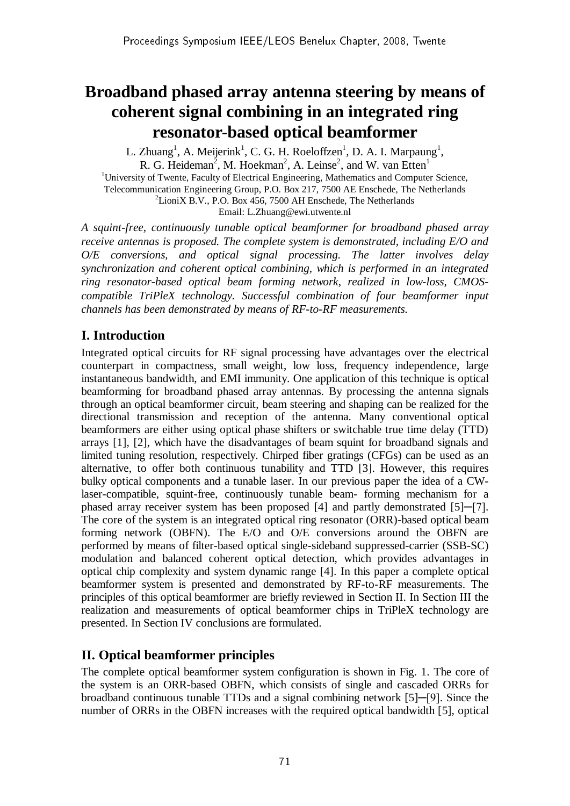# **Broadband phased array antenna steering by means of coherent signal combining in an integrated ring resonator-based optical beamformer**

L. Zhuang<sup>1</sup>, A. Meijerink<sup>1</sup>, C. G. H. Roeloffzen<sup>1</sup>, D. A. I. Marpaung<sup>1</sup>, R. G. Heideman<sup>2</sup>, M. Hoekman<sup>2</sup>, A. Leinse<sup>2</sup>, and W. van Etten<sup>1</sup>  $1$ <sup>1</sup>University of Twente, Faculty of Electrical Engineering, Mathematics and Computer Science, Telecommunication Engineering Group, P.O. Box 217, 7500 AE Enschede, The Netherlands  ${}^{2}$ LioniX B.V., P.O. Box 456, 7500 AH Enschede, The Netherlands Email: L.Zhuang@ewi.utwente.nl

*A squint-free, continuously tunable optical beamformer for broadband phased array receive antennas is proposed. The complete system is demonstrated, including E/O and O/E conversions, and optical signal processing. The latter involves delay synchronization and coherent optical combining, which is performed in an integrated ring resonator-based optical beam forming network, realized in low-loss, CMOScompatible TriPleX technology. Successful combination of four beamformer input channels has been demonstrated by means of RF-to-RF measurements.* 

# **I. Introduction**

Integrated optical circuits for RF signal processing have advantages over the electrical counterpart in compactness, small weight, low loss, frequency independence, large instantaneous bandwidth, and EMI immunity. One application of this technique is optical beamforming for broadband phased array antennas. By processing the antenna signals through an optical beamformer circuit, beam steering and shaping can be realized for the directional transmission and reception of the antenna. Many conventional optical beamformers are either using optical phase shifters or switchable true time delay (TTD) arrays [1], [2], which have the disadvantages of beam squint for broadband signals and limited tuning resolution, respectively. Chirped fiber gratings (CFGs) can be used as an alternative, to offer both continuous tunability and TTD [3]. However, this requires bulky optical components and a tunable laser. In our previous paper the idea of a CWlaser-compatible, squint-free, continuously tunable beam- forming mechanism for a phased array receiver system has been proposed [4] and partly demonstrated [5]─[7]. The core of the system is an integrated optical ring resonator (ORR)-based optical beam forming network (OBFN). The E/O and O/E conversions around the OBFN are performed by means of filter-based optical single-sideband suppressed-carrier (SSB-SC) modulation and balanced coherent optical detection, which provides advantages in optical chip complexity and system dynamic range [4]. In this paper a complete optical beamformer system is presented and demonstrated by RF-to-RF measurements. The principles of this optical beamformer are briefly reviewed in Section II. In Section III the realization and measurements of optical beamformer chips in TriPleX technology are presented. In Section IV conclusions are formulated.

# **II. Optical beamformer principles**

The complete optical beamformer system configuration is shown in Fig. 1. The core of the system is an ORR-based OBFN, which consists of single and cascaded ORRs for broadband continuous tunable TTDs and a signal combining network [5]─[9]. Since the number of ORRs in the OBFN increases with the required optical bandwidth [5], optical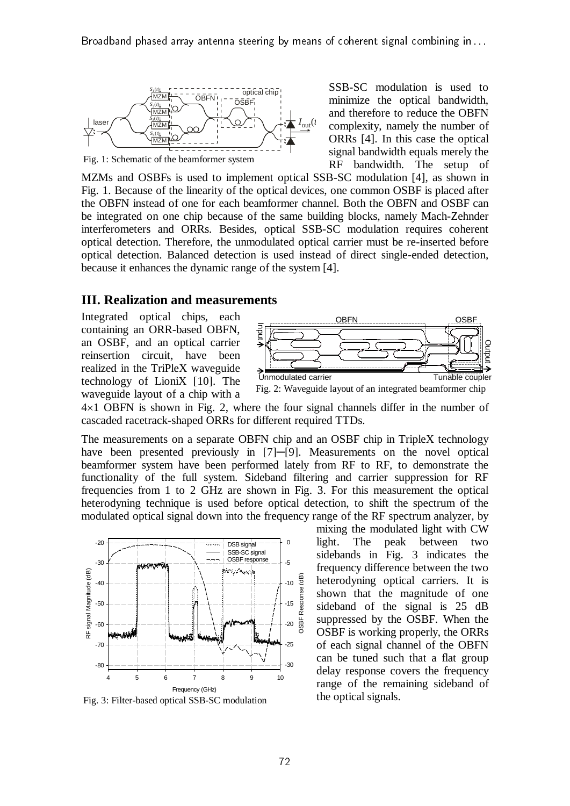

Fig. 1: Schematic of the beamformer system

SSB-SC modulation is used to minimize the optical bandwidth, and therefore to reduce the OBFN complexity, namely the number of ORRs [4]. In this case the optical signal bandwidth equals merely the RF bandwidth. The setup of

MZMs and OSBFs is used to implement optical SSB-SC modulation [4], as shown in Fig. 1. Because of the linearity of the optical devices, one common OSBF is placed after the OBFN instead of one for each beamformer channel. Both the OBFN and OSBF can be integrated on one chip because of the same building blocks, namely Mach-Zehnder interferometers and ORRs. Besides, optical SSB-SC modulation requires coherent optical detection. Therefore, the unmodulated optical carrier must be re-inserted before optical detection. Balanced detection is used instead of direct single-ended detection, because it enhances the dynamic range of the system [4].

#### **III. Realization and measurements**

Integrated optical chips, each containing an ORR-based OBFN, an OSBF, and an optical carrier reinsertion circuit, have been realized in the TriPleX waveguide technology of LioniX [10]. The waveguide layout of a chip with a



Fig. 2: Waveguide layout of an integrated beamformer chip

 $4\times1$  OBFN is shown in Fig. 2, where the four signal channels differ in the number of cascaded racetrack-shaped ORRs for different required TTDs.

The measurements on a separate OBFN chip and an OSBF chip in TripleX technology have been presented previously in [7]—[9]. Measurements on the novel optical beamformer system have been performed lately from RF to RF, to demonstrate the functionality of the full system. Sideband filtering and carrier suppression for RF frequencies from 1 to 2 GHz are shown in Fig. 3. For this measurement the optical heterodyning technique is used before optical detection, to shift the spectrum of the modulated optical signal down into the frequency range of the RF spectrum analyzer, by



Fig. 3: Filter-based optical SSB-SC modulation

mixing the modulated light with CW light. The peak between two sidebands in Fig. 3 indicates the frequency difference between the two heterodyning optical carriers. It is shown that the magnitude of one sideband of the signal is 25 dB suppressed by the OSBF. When the OSBF is working properly, the ORRs of each signal channel of the OBFN can be tuned such that a flat group delay response covers the frequency range of the remaining sideband of the optical signals.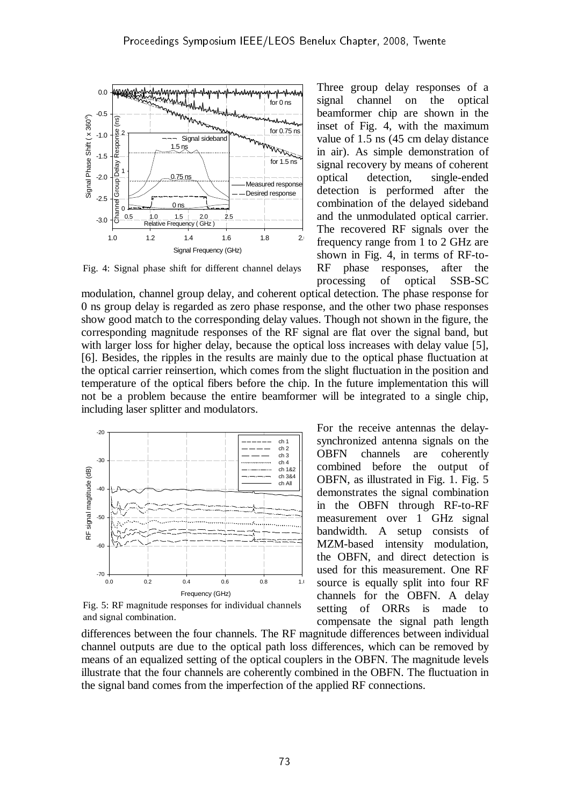

Fig. 4: Signal phase shift for different channel delays

Three group delay responses of a signal channel on the optical beamformer chip are shown in the inset of Fig. 4, with the maximum value of 1.5 ns (45 cm delay distance in air). As simple demonstration of signal recovery by means of coherent optical detection, single-ended detection is performed after the combination of the delayed sideband and the unmodulated optical carrier. The recovered RF signals over the frequency range from 1 to 2 GHz are shown in Fig. 4, in terms of RF-to-RF phase responses, after the processing of optical SSB-SC

modulation, channel group delay, and coherent optical detection. The phase response for 0 ns group delay is regarded as zero phase response, and the other two phase responses show good match to the corresponding delay values. Though not shown in the figure, the corresponding magnitude responses of the RF signal are flat over the signal band, but with larger loss for higher delay, because the optical loss increases with delay value [5], [6]. Besides, the ripples in the results are mainly due to the optical phase fluctuation at the optical carrier reinsertion, which comes from the slight fluctuation in the position and temperature of the optical fibers before the chip. In the future implementation this will not be a problem because the entire beamformer will be integrated to a single chip, including laser splitter and modulators.



Fig. 5: RF magnitude responses for individual channels and signal combination.

OBFN channels are coherently combined before the output of OBFN, as illustrated in Fig. 1. Fig. 5 demonstrates the signal combination in the OBFN through RF-to-RF measurement over 1 GHz signal bandwidth. A setup consists of MZM-based intensity modulation, the OBFN, and direct detection is used for this measurement. One RF source is equally split into four RF channels for the OBFN. A delay setting of ORRs is made to compensate the signal path length

For the receive antennas the delaysynchronized antenna signals on the

differences between the four channels. The RF magnitude differences between individual channel outputs are due to the optical path loss differences, which can be removed by means of an equalized setting of the optical couplers in the OBFN. The magnitude levels illustrate that the four channels are coherently combined in the OBFN. The fluctuation in the signal band comes from the imperfection of the applied RF connections.